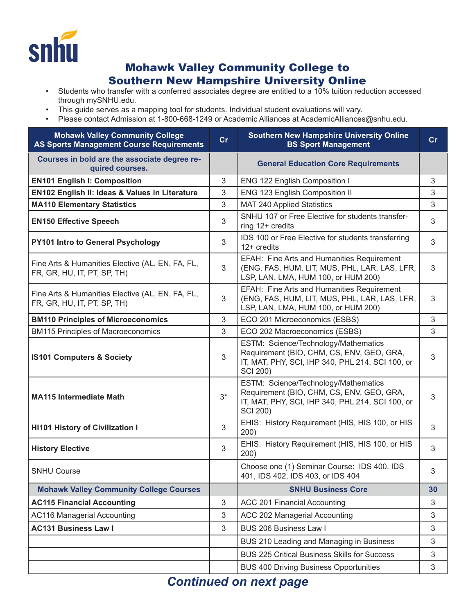

## Mohawk Valley Community College to Southern New Hampshire University Online

- Students who transfer with a conferred associates degree are entitled to a 10% tuition reduction accessed through mySNHU.edu.
- This guide serves as a mapping tool for students. Individual student evaluations will vary.
- Please contact Admission at 1-800-668-1249 or Academic Alliances at AcademicAlliances@snhu.edu.

| <b>Mohawk Valley Community College</b><br><b>AS Sports Management Course Requirements</b> | cr    | <b>Southern New Hampshire University Online</b><br><b>BS Sport Management</b>                                                                            | cr |
|-------------------------------------------------------------------------------------------|-------|----------------------------------------------------------------------------------------------------------------------------------------------------------|----|
| Courses in bold are the associate degree re-<br>quired courses.                           |       | <b>General Education Core Requirements</b>                                                                                                               |    |
| <b>EN101 English I: Composition</b>                                                       | 3     | ENG 122 English Composition I                                                                                                                            | 3  |
| EN102 English II: Ideas & Values in Literature                                            | 3     | ENG 123 English Composition II                                                                                                                           | 3  |
| <b>MA110 Elementary Statistics</b>                                                        | 3     | <b>MAT 240 Applied Statistics</b>                                                                                                                        | 3  |
| <b>EN150 Effective Speech</b>                                                             | 3     | SNHU 107 or Free Elective for students transfer-<br>ring 12+ credits                                                                                     | 3  |
| PY101 Intro to General Psychology                                                         | 3     | IDS 100 or Free Elective for students transferring<br>12+ credits                                                                                        | 3  |
| Fine Arts & Humanities Elective (AL, EN, FA, FL,<br>FR, GR, HU, IT, PT, SP, TH)           | 3     | EFAH: Fine Arts and Humanities Requirement<br>(ENG, FAS, HUM, LIT, MUS, PHL, LAR, LAS, LFR,<br>LSP, LAN, LMA, HUM 100, or HUM 200)                       | 3  |
| Fine Arts & Humanities Elective (AL, EN, FA, FL,<br>FR, GR, HU, IT, PT, SP, TH)           | 3     | EFAH: Fine Arts and Humanities Requirement<br>(ENG, FAS, HUM, LIT, MUS, PHL, LAR, LAS, LFR,<br>LSP, LAN, LMA, HUM 100, or HUM 200)                       | 3  |
| <b>BM110 Principles of Microeconomics</b>                                                 | 3     | ECO 201 Microeconomics (ESBS)                                                                                                                            | 3  |
| <b>BM115 Principles of Macroeconomics</b>                                                 | 3     | ECO 202 Macroeconomics (ESBS)                                                                                                                            | 3  |
| <b>IS101 Computers &amp; Society</b>                                                      | 3     | ESTM: Science/Technology/Mathematics<br>Requirement (BIO, CHM, CS, ENV, GEO, GRA,<br>IT, MAT, PHY, SCI, IHP 340, PHL 214, SCI 100, or<br><b>SCI 200)</b> | 3  |
| <b>MA115 Intermediate Math</b>                                                            | $3^*$ | ESTM: Science/Technology/Mathematics<br>Requirement (BIO, CHM, CS, ENV, GEO, GRA,<br>IT, MAT, PHY, SCI, IHP 340, PHL 214, SCI 100, or<br><b>SCI 200)</b> | 3  |
| <b>HI101 History of Civilization I</b>                                                    | 3     | EHIS: History Requirement (HIS, HIS 100, or HIS<br>200)                                                                                                  | 3  |
| <b>History Elective</b>                                                                   | 3     | EHIS: History Requirement (HIS, HIS 100, or HIS<br>200)                                                                                                  | 3  |
| <b>SNHU Course</b>                                                                        |       | Choose one (1) Seminar Course: IDS 400, IDS<br>401, IDS 402, IDS 403, or IDS 404                                                                         | 3  |
| <b>Mohawk Valley Community College Courses</b>                                            |       | <b>SNHU Business Core</b>                                                                                                                                | 30 |
| <b>AC115 Financial Accounting</b>                                                         | 3     | ACC 201 Financial Accounting                                                                                                                             | 3  |
| <b>AC116 Managerial Accounting</b>                                                        | 3     | ACC 202 Managerial Accounting                                                                                                                            | 3  |
| <b>AC131 Business Law I</b>                                                               | 3     | BUS 206 Business Law I                                                                                                                                   | 3  |
|                                                                                           |       | BUS 210 Leading and Managing in Business                                                                                                                 | 3  |
|                                                                                           |       | <b>BUS 225 Critical Business Skills for Success</b>                                                                                                      | 3  |
|                                                                                           |       | <b>BUS 400 Driving Business Opportunities</b>                                                                                                            | 3  |
|                                                                                           |       |                                                                                                                                                          |    |

## *Continued on next page*